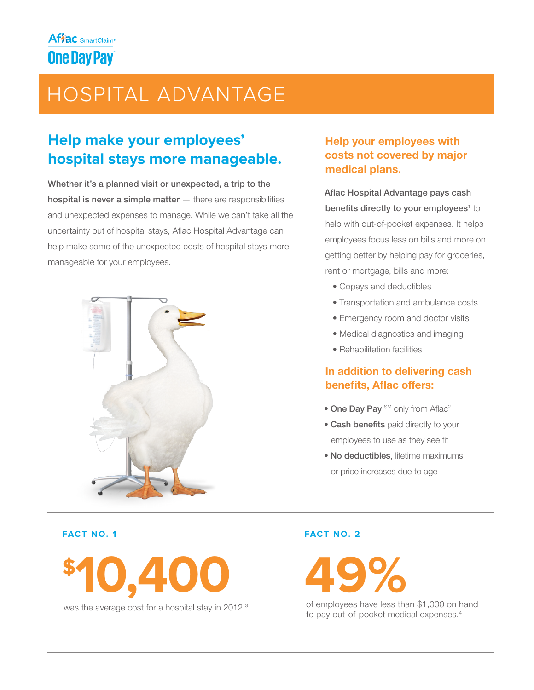# HOSPITAL ADVANTAGE

# **Help make your employees' hospital stays more manageable.**

Whether it's a planned visit or unexpected, a trip to the hospital is never a simple matter  $-$  there are responsibilities and unexpected expenses to manage. While we can't take all the uncertainty out of hospital stays, Aflac Hospital Advantage can help make some of the unexpected costs of hospital stays more manageable for your employees.



### Help your employees with costs not covered by major medical plans.

Aflac Hospital Advantage pays cash benefits directly to your employees<sup>1</sup> to help with out-of-pocket expenses. It helps employees focus less on bills and more on getting better by helping pay for groceries, rent or mortgage, bills and more:

- Copays and deductibles
- Transportation and ambulance costs
- Emergency room and doctor visits
- Medical diagnostics and imaging
- Rehabilitation facilities

#### In addition to delivering cash benefits, Aflac offers:

- One Day Pay,<sup>SM</sup> only from Aflac<sup>2</sup>
- Cash benefits paid directly to your employees to use as they see fit
- No deductibles, lifetime maximums or price increases due to age



**FACT NO. 1 FACT NO. 2**

**49%** 

of employees have less than \$1,000 on hand to pay out-of-pocket medical expenses.<sup>4</sup>